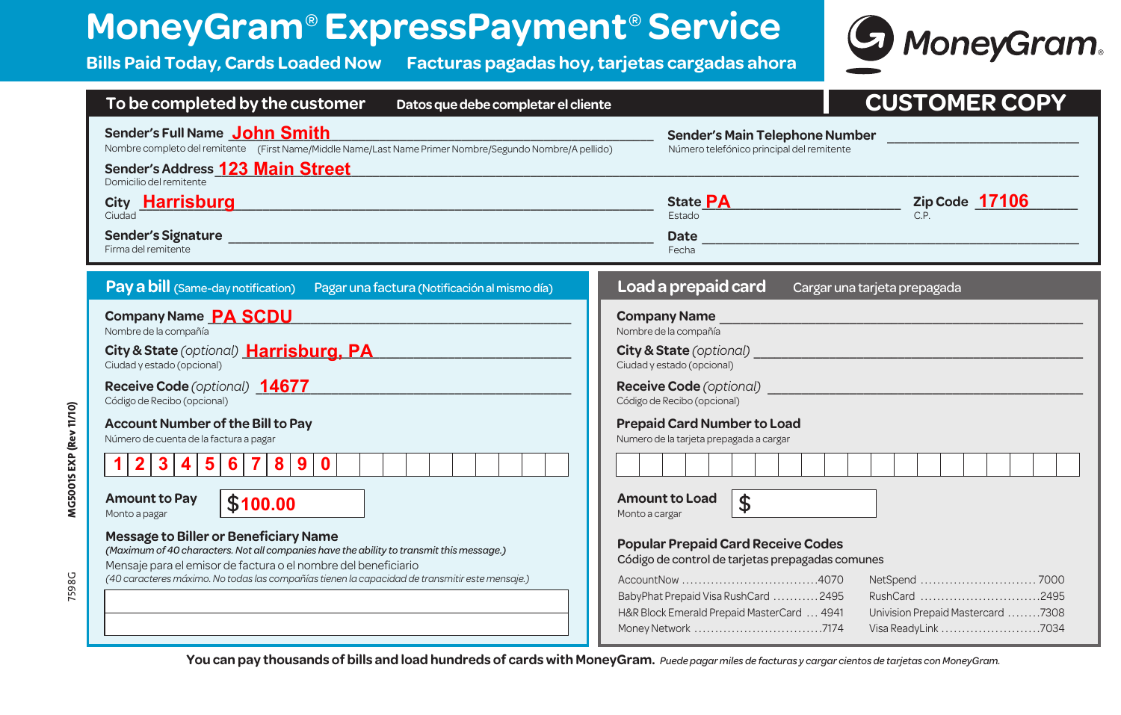## **MoneyGram**® **ExpressPayment**® **Service**

7598G **MG5001S EXP (Rev 11/10)**

7598G

MG5001S EXP (Rev 11/10)

**Bills Paid Today, Cards Loaded Now Facturas pagadas hoy, tarjetas cargadas ahora**



| To be completed by the customer<br>Datos que debe completar el cliente                                                                                                                                                                                                                                                                                                                                                                                                                                                                                                                                                                                                                                                     | <b>CUSTOMER COPY</b>                                                                                                                                                                                                                                                                                                                                                                                                                                    |
|----------------------------------------------------------------------------------------------------------------------------------------------------------------------------------------------------------------------------------------------------------------------------------------------------------------------------------------------------------------------------------------------------------------------------------------------------------------------------------------------------------------------------------------------------------------------------------------------------------------------------------------------------------------------------------------------------------------------------|---------------------------------------------------------------------------------------------------------------------------------------------------------------------------------------------------------------------------------------------------------------------------------------------------------------------------------------------------------------------------------------------------------------------------------------------------------|
| Sender's Full Name John Smith<br>Sender's Main Telephone Number<br>Nombre completo del remitente (First Name/Middle Name/Last Name Primer Nombre/Segundo Nombre/A pellido)<br>Número telefónico principal del remitente<br>Sender's Address 123 Main Street<br>Domicilio del remitente                                                                                                                                                                                                                                                                                                                                                                                                                                     |                                                                                                                                                                                                                                                                                                                                                                                                                                                         |
| City Harrisburg<br><u> 1989 - Johann Stein, marwolaethau a bhann an t-Amhain an t-Amhain an t-Amhain an t-Amhain an t-Amhain an t-A</u><br>Ciudad                                                                                                                                                                                                                                                                                                                                                                                                                                                                                                                                                                          | Zip Code $\frac{17106}{C.P.}$<br>State <b>PA</b><br><b>Fstado</b>                                                                                                                                                                                                                                                                                                                                                                                       |
| <b>Sender's Signature</b><br><u> 1980 - Jan James James, martin amerikan basar dan bagi dan bagi dan bagi dan bagi dan bagi dan bagi dan bagi </u><br>Firma del remitente                                                                                                                                                                                                                                                                                                                                                                                                                                                                                                                                                  | <b>Date</b><br>Fecha                                                                                                                                                                                                                                                                                                                                                                                                                                    |
| Pay a bill (Same-day notification) Pagar una factura (Notificación al mismo día)                                                                                                                                                                                                                                                                                                                                                                                                                                                                                                                                                                                                                                           | Load a prepaid card<br>Cargar una tarjeta prepagada                                                                                                                                                                                                                                                                                                                                                                                                     |
| Company Name PA SCDU<br>Nombre de la compañía<br>City & State (optional) Harrisburg, PA<br>Ciudad y estado (opcional)<br>Receive Code (optional) 14677<br>Código de Recibo (opcional)<br><b>Account Number of the Bill to Pay</b><br>Número de cuenta de la factura a pagar<br>$5\phantom{1}$<br>3 4 <br>$6 \mid$<br>7<br>8 9<br>$\mathbf{2}$<br>$\mathbf 0$<br><b>Amount to Pay</b><br>\$100.00<br>Monto a pagar<br>Message to Biller or Beneficiary Name<br>(Maximum of 40 characters. Not all companies have the ability to transmit this message.)<br>Mensaje para el emisor de factura o el nombre del beneficiario<br>(40 caracteres máximo. No todas las compañías tienen la capacidad de transmitir este mensaje.) | <b>Company Name</b><br>Nombre de la compañía<br>City & State (optional)<br><u>City &amp; State (optional)</u><br>Ciudad y estado (opcional)<br>Receive Code (optional) ______________<br>Código de Recibo (opcional)<br><b>Prepaid Card Number to Load</b><br>Numero de la tarjeta prepagada a cargar<br><b>Amount to Load</b><br>\$<br>Monto a cargar<br><b>Popular Prepaid Card Receive Codes</b><br>Código de control de tarjetas prepagadas comunes |
|                                                                                                                                                                                                                                                                                                                                                                                                                                                                                                                                                                                                                                                                                                                            | RushCard 2495<br>BabyPhat Prepaid Visa RushCard 2495<br>H&R Block Emerald Prepaid MasterCard  4941<br>Univision Prepaid Mastercard 7308                                                                                                                                                                                                                                                                                                                 |

**You can pay thousands of bills and load hundreds of cards with MoneyGram.** *Puede pagar miles de facturas y cargar cientos de tarjetas con MoneyGram.*